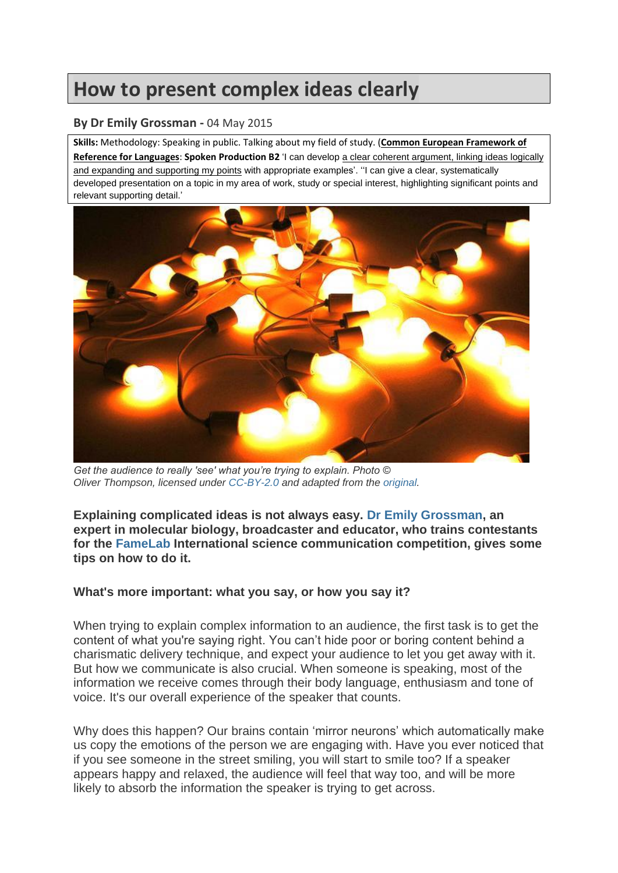# **How to present complex ideas clearly**

## **By Dr Emily Grossman -** 04 May 2015

**Skills:** Methodology: Speaking in public. Talking about my field of study. (**Common European Framework of Reference for Languages**: **Spoken Production B2** 'I can develop a clear coherent argument, linking ideas logically and expanding and supporting my points with appropriate examples'. "I can give a clear, systematically developed presentation on a topic in my area of work, study or special interest, highlighting significant points and relevant supporting detail.'



*Get the audience to really 'see' what you're trying to explain. Photo © Oliver Thompson, licensed under [CC-BY-2.0](https://creativecommons.org/licenses/by/2.0/) and adapted from the [original.](https://www.flickr.com/photos/oliverthompsonphotography/5413143589)*

**Explaining complicated ideas is not always easy. [Dr Emily Grossman,](http://www.emilygrossman.co.uk/) an expert in molecular biology, broadcaster and educator, who trains contestants for the [FameLab](http://famelab.org/) International science communication competition, gives some tips on how to do it.**

## **What's more important: what you say, or how you say it?**

When trying to explain complex information to an audience, the first task is to get the content of what you're saying right. You can't hide poor or boring content behind a charismatic delivery technique, and expect your audience to let you get away with it. But how we communicate is also crucial. When someone is speaking, most of the information we receive comes through their body language, enthusiasm and tone of voice. It's our overall experience of the speaker that counts.

Why does this happen? Our brains contain 'mirror neurons' which automatically make us copy the emotions of the person we are engaging with. Have you ever noticed that if you see someone in the street smiling, you will start to smile too? If a speaker appears happy and relaxed, the audience will feel that way too, and will be more likely to absorb the information the speaker is trying to get across.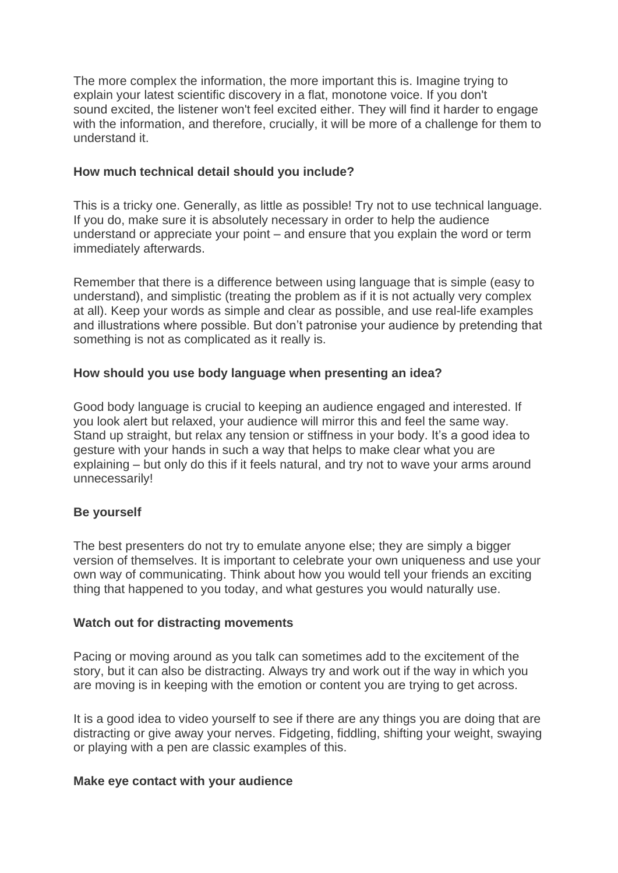The more complex the information, the more important this is. Imagine trying to explain your latest scientific discovery in a flat, monotone voice. If you don't sound excited, the listener won't feel excited either. They will find it harder to engage with the information, and therefore, crucially, it will be more of a challenge for them to understand it.

# **How much technical detail should you include?**

This is a tricky one. Generally, as little as possible! Try not to use technical language. If you do, make sure it is absolutely necessary in order to help the audience understand or appreciate your point – and ensure that you explain the word or term immediately afterwards.

Remember that there is a difference between using language that is simple (easy to understand), and simplistic (treating the problem as if it is not actually very complex at all). Keep your words as simple and clear as possible, and use real-life examples and illustrations where possible. But don't patronise your audience by pretending that something is not as complicated as it really is.

# **How should you use body language when presenting an idea?**

Good body language is crucial to keeping an audience engaged and interested. If you look alert but relaxed, your audience will mirror this and feel the same way. Stand up straight, but relax any tension or stiffness in your body. It's a good idea to gesture with your hands in such a way that helps to make clear what you are explaining – but only do this if it feels natural, and try not to wave your arms around unnecessarily!

# **Be yourself**

The best presenters do not try to emulate anyone else; they are simply a bigger version of themselves. It is important to celebrate your own uniqueness and use your own way of communicating. Think about how you would tell your friends an exciting thing that happened to you today, and what gestures you would naturally use.

## **Watch out for distracting movements**

Pacing or moving around as you talk can sometimes add to the excitement of the story, but it can also be distracting. Always try and work out if the way in which you are moving is in keeping with the emotion or content you are trying to get across.

It is a good idea to video yourself to see if there are any things you are doing that are distracting or give away your nerves. Fidgeting, fiddling, shifting your weight, swaying or playing with a pen are classic examples of this.

## **Make eye contact with your audience**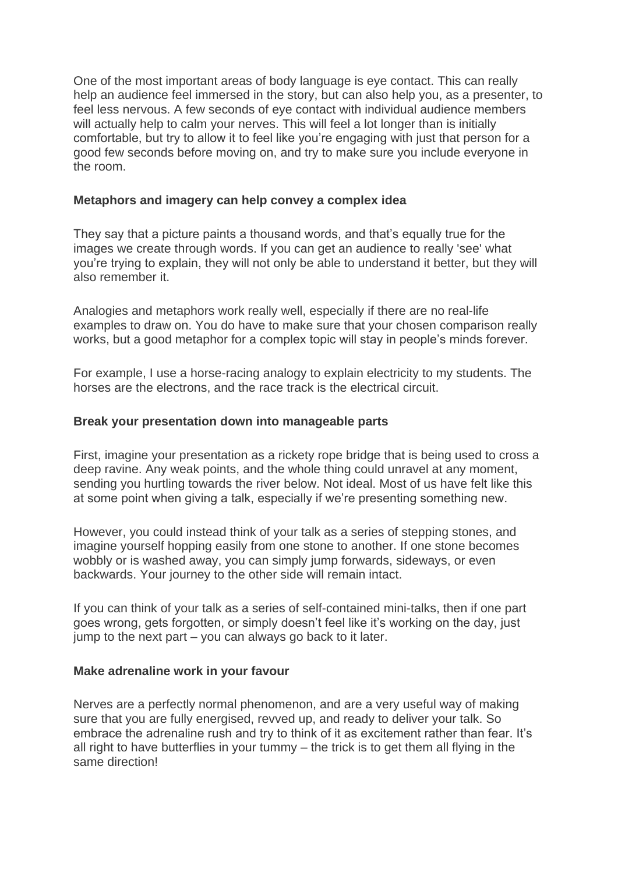One of the most important areas of body language is eye contact. This can really help an audience feel immersed in the story, but can also help you, as a presenter, to feel less nervous. A few seconds of eye contact with individual audience members will actually help to calm your nerves. This will feel a lot longer than is initially comfortable, but try to allow it to feel like you're engaging with just that person for a good few seconds before moving on, and try to make sure you include everyone in the room.

# **Metaphors and imagery can help convey a complex idea**

They say that a picture paints a thousand words, and that's equally true for the images we create through words. If you can get an audience to really 'see' what you're trying to explain, they will not only be able to understand it better, but they will also remember it.

Analogies and metaphors work really well, especially if there are no real-life examples to draw on. You do have to make sure that your chosen comparison really works, but a good metaphor for a complex topic will stay in people's minds forever.

For example, I use a horse-racing analogy to explain electricity to my students. The horses are the electrons, and the race track is the electrical circuit.

# **Break your presentation down into manageable parts**

First, imagine your presentation as a rickety rope bridge that is being used to cross a deep ravine. Any weak points, and the whole thing could unravel at any moment, sending you hurtling towards the river below. Not ideal. Most of us have felt like this at some point when giving a talk, especially if we're presenting something new.

However, you could instead think of your talk as a series of stepping stones, and imagine yourself hopping easily from one stone to another. If one stone becomes wobbly or is washed away, you can simply jump forwards, sideways, or even backwards. Your journey to the other side will remain intact.

If you can think of your talk as a series of self-contained mini-talks, then if one part goes wrong, gets forgotten, or simply doesn't feel like it's working on the day, just jump to the next part – you can always go back to it later.

## **Make adrenaline work in your favour**

Nerves are a perfectly normal phenomenon, and are a very useful way of making sure that you are fully energised, revved up, and ready to deliver your talk. So embrace the adrenaline rush and try to think of it as excitement rather than fear. It's all right to have butterflies in your tummy – the trick is to get them all flying in the same direction!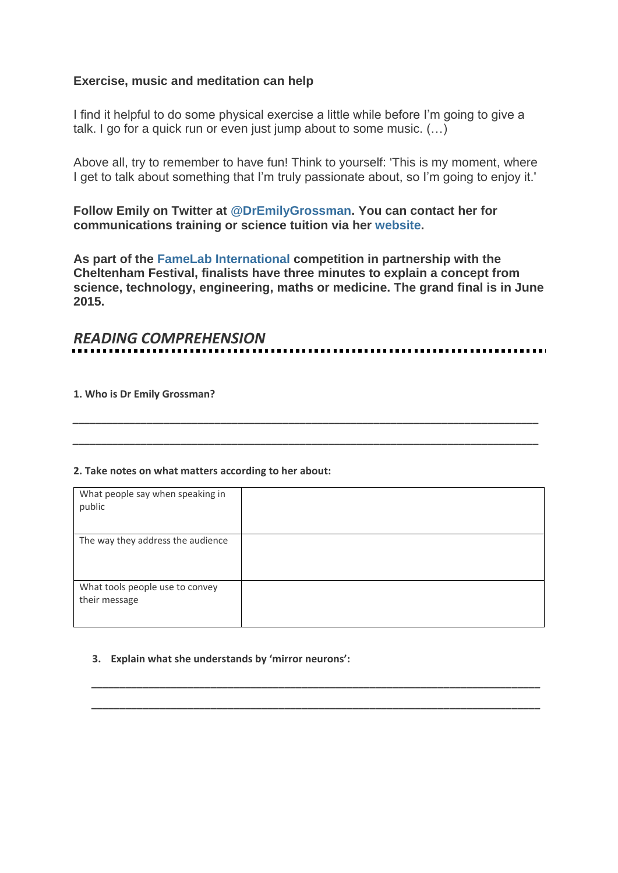## **Exercise, music and meditation can help**

I find it helpful to do some physical exercise a little while before I'm going to give a talk. I go for a quick run or even just jump about to some music. (…)

Above all, try to remember to have fun! Think to yourself: 'This is my moment, where I get to talk about something that I'm truly passionate about, so I'm going to enjoy it.'

**Follow Emily on Twitter at [@DrEmilyGrossman.](https://twitter.com/dremilygrossman) You can contact her for communications training or science tuition via her [website.](http://www.emilygrossman.co.uk/)**

**As part of the [FameLab International](http://famelab.org/) competition in partnership with the Cheltenham Festival, finalists have three minutes to explain a concept from science, technology, engineering, maths or medicine. The grand final is in June 2015.**

# *READING COMPREHENSION*

*\_\_\_\_\_\_\_\_\_\_\_\_\_\_\_\_\_\_\_\_\_\_\_\_\_\_\_\_\_\_\_\_\_\_\_\_\_\_\_\_\_\_\_\_\_\_\_\_\_\_\_\_\_\_\_\_\_\_\_\_\_\_\_\_\_\_\_\_\_\_\_\_\_\_\_\_\_\_\_\_\_\_*

*\_\_\_\_\_\_\_\_\_\_\_\_\_\_\_\_\_\_\_\_\_\_\_\_\_\_\_\_\_\_\_\_\_\_\_\_\_\_\_\_\_\_\_\_\_\_\_\_\_\_\_\_\_\_\_\_\_\_\_\_\_\_\_\_\_\_\_\_\_\_\_\_\_\_\_\_\_\_\_\_\_\_*

**1. Who is Dr Emily Grossman?**

#### **2. Take notes on what matters according to her about:**

| What people say when speaking in<br>public       |  |
|--------------------------------------------------|--|
| The way they address the audience                |  |
| What tools people use to convey<br>their message |  |

*\_\_\_\_\_\_\_\_\_\_\_\_\_\_\_\_\_\_\_\_\_\_\_\_\_\_\_\_\_\_\_\_\_\_\_\_\_\_\_\_\_\_\_\_\_\_\_\_\_\_\_\_\_\_\_\_\_\_\_\_\_\_\_\_\_\_\_\_\_\_\_\_\_\_\_\_\_\_\_*

*\_\_\_\_\_\_\_\_\_\_\_\_\_\_\_\_\_\_\_\_\_\_\_\_\_\_\_\_\_\_\_\_\_\_\_\_\_\_\_\_\_\_\_\_\_\_\_\_\_\_\_\_\_\_\_\_\_\_\_\_\_\_\_\_\_\_\_\_\_\_\_\_\_\_\_\_\_\_\_*

#### **3. Explain what she understands by 'mirror neurons':**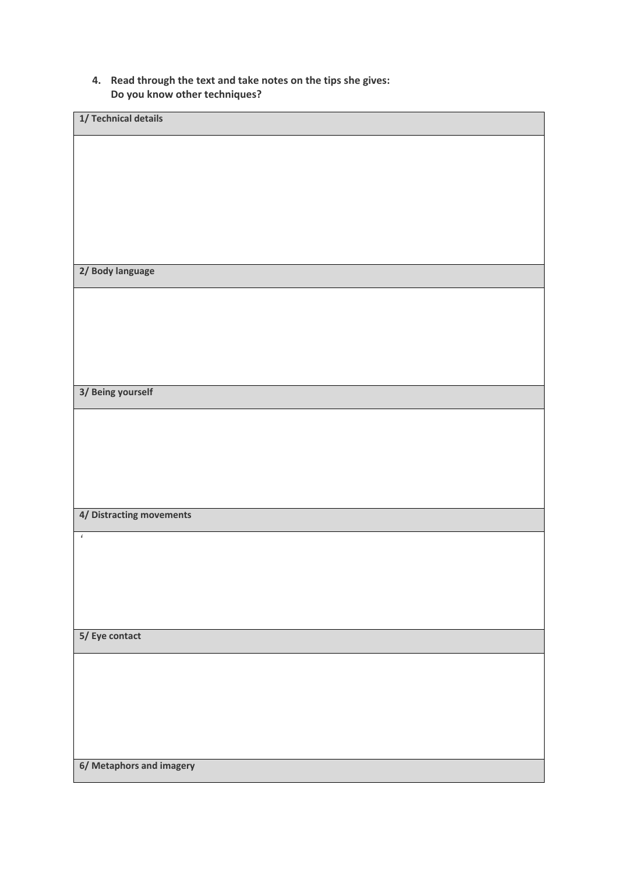#### **4. Read through the text and take notes on the tips she gives: Do you know other techniques?**

| 1/ Technical details     |  |
|--------------------------|--|
|                          |  |
|                          |  |
|                          |  |
|                          |  |
|                          |  |
| 2/ Body language         |  |
|                          |  |
|                          |  |
|                          |  |
|                          |  |
|                          |  |
| 3/ Being yourself        |  |
|                          |  |
|                          |  |
|                          |  |
|                          |  |
| 4/ Distracting movements |  |
| $\pmb{\epsilon}$         |  |
|                          |  |
|                          |  |
|                          |  |
| 5/ Eye contact           |  |
|                          |  |
|                          |  |
|                          |  |
|                          |  |
|                          |  |
| 6/ Metaphors and imagery |  |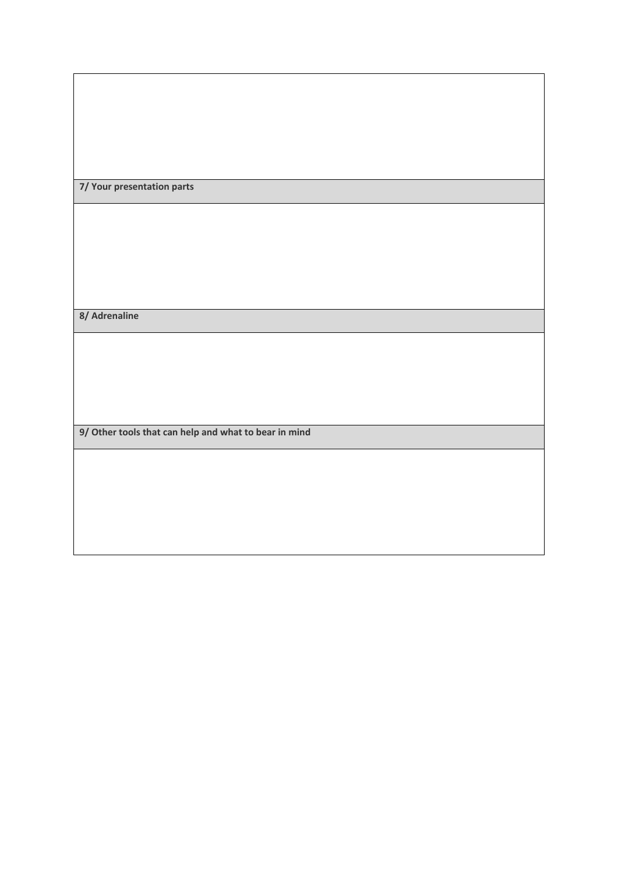# **7/ Your presentation parts**

**8/ Adrenaline**

**9/ Other tools that can help and what to bear in mind**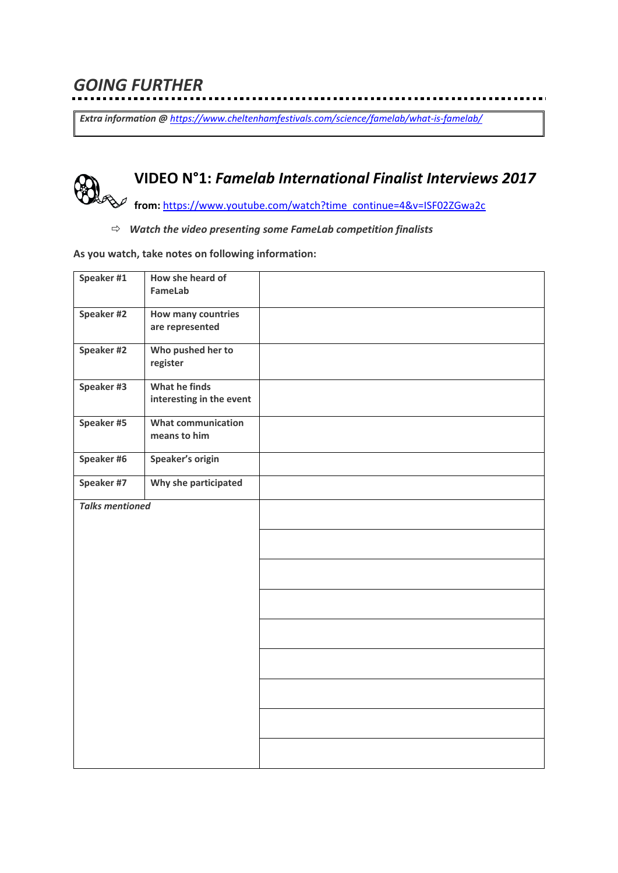*Extra information @ <https://www.cheltenhamfestivals.com/science/famelab/what-is-famelab/>*

. . . . . . . .

# **VIDEO N°1:** *Famelab International Finalist Interviews 2017*

**from:** [https://www.youtube.com/watch?time\\_continue=4&v=ISF02ZGwa2c](https://www.youtube.com/watch?time_continue=4&v=ISF02ZGwa2c)

#### *Watch the video presenting some FameLab competition finalists*

#### **As you watch, take notes on following information:**

| Speaker #1             | How she heard of<br>FameLab               |  |
|------------------------|-------------------------------------------|--|
| Speaker #2             | How many countries<br>are represented     |  |
| Speaker #2             | Who pushed her to<br>register             |  |
| Speaker #3             | What he finds<br>interesting in the event |  |
| Speaker #5             | <b>What communication</b><br>means to him |  |
| Speaker #6             | Speaker's origin                          |  |
| Speaker #7             | Why she participated                      |  |
| <b>Talks mentioned</b> |                                           |  |
|                        |                                           |  |
|                        |                                           |  |
|                        |                                           |  |
|                        |                                           |  |
|                        |                                           |  |
|                        |                                           |  |
|                        |                                           |  |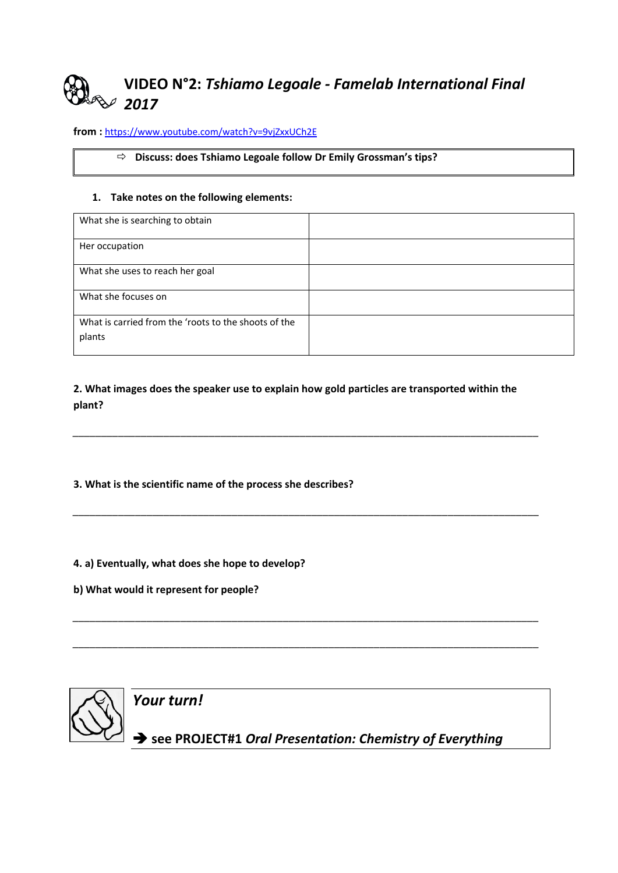# **VIDEO N°2:** *Tshiamo Legoale - Famelab International Final 2017*

**from :** <https://www.youtube.com/watch?v=9vjZxxUCh2E>

#### **Discuss: does Tshiamo Legoale follow Dr Emily Grossman's tips?**

#### **1. Take notes on the following elements:**

| What she is searching to obtain                                |  |
|----------------------------------------------------------------|--|
| Her occupation                                                 |  |
| What she uses to reach her goal                                |  |
| What she focuses on                                            |  |
| What is carried from the 'roots to the shoots of the<br>plants |  |

**2. What images does the speaker use to explain how gold particles are transported within the plant?**

*\_\_\_\_\_\_\_\_\_\_\_\_\_\_\_\_\_\_\_\_\_\_\_\_\_\_\_\_\_\_\_\_\_\_\_\_\_\_\_\_\_\_\_\_\_\_\_\_\_\_\_\_\_\_\_\_\_\_\_\_\_\_\_\_\_\_\_\_\_\_\_\_\_\_\_\_\_\_\_\_\_\_*

*\_\_\_\_\_\_\_\_\_\_\_\_\_\_\_\_\_\_\_\_\_\_\_\_\_\_\_\_\_\_\_\_\_\_\_\_\_\_\_\_\_\_\_\_\_\_\_\_\_\_\_\_\_\_\_\_\_\_\_\_\_\_\_\_\_\_\_\_\_\_\_\_\_\_\_\_\_\_\_\_\_\_*

*\_\_\_\_\_\_\_\_\_\_\_\_\_\_\_\_\_\_\_\_\_\_\_\_\_\_\_\_\_\_\_\_\_\_\_\_\_\_\_\_\_\_\_\_\_\_\_\_\_\_\_\_\_\_\_\_\_\_\_\_\_\_\_\_\_\_\_\_\_\_\_\_\_\_\_\_\_\_\_\_\_\_*

*\_\_\_\_\_\_\_\_\_\_\_\_\_\_\_\_\_\_\_\_\_\_\_\_\_\_\_\_\_\_\_\_\_\_\_\_\_\_\_\_\_\_\_\_\_\_\_\_\_\_\_\_\_\_\_\_\_\_\_\_\_\_\_\_\_\_\_\_\_\_\_\_\_\_\_\_\_\_\_\_\_\_*

**3. What is the scientific name of the process she describes?**

**4. a) Eventually, what does she hope to develop?**

**b) What would it represent for people?**

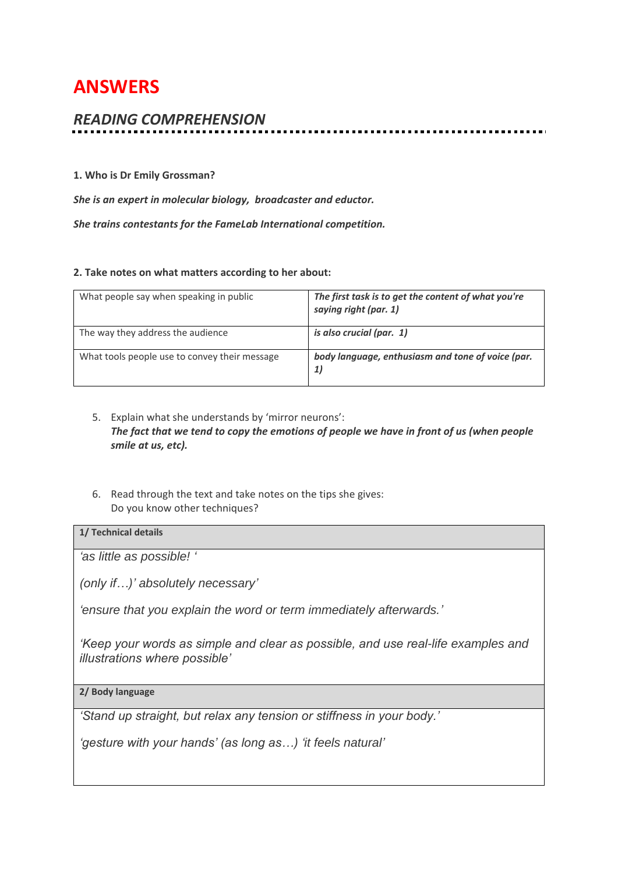# **ANSWERS**

# *READING COMPREHENSION*

#### **1. Who is Dr Emily Grossman?**

*She is an expert in molecular biology, broadcaster and eductor.* 

*She trains contestants for the FameLab International competition.*

#### **2. Take notes on what matters according to her about:**

| What people say when speaking in public       | The first task is to get the content of what you're<br>saying right (par. 1) |
|-----------------------------------------------|------------------------------------------------------------------------------|
| The way they address the audience             | is also crucial (par. 1)                                                     |
| What tools people use to convey their message | body language, enthusiasm and tone of voice (par.<br>1)                      |

- 5. Explain what she understands by 'mirror neurons': *The fact that we tend to copy the emotions of people we have in front of us (when people smile at us, etc).*
- 6. Read through the text and take notes on the tips she gives: Do you know other techniques?

#### **1/ Technical details**

*'as little as possible! '*

*(only if…)' absolutely necessary'*

*'ensure that you explain the word or term immediately afterwards.'*

*'Keep your words as simple and clear as possible, and use real-life examples and illustrations where possible'*

**2/ Body language**

*'Stand up straight, but relax any tension or stiffness in your body.'*

*'gesture with your hands' (as long as…) 'it feels natural'*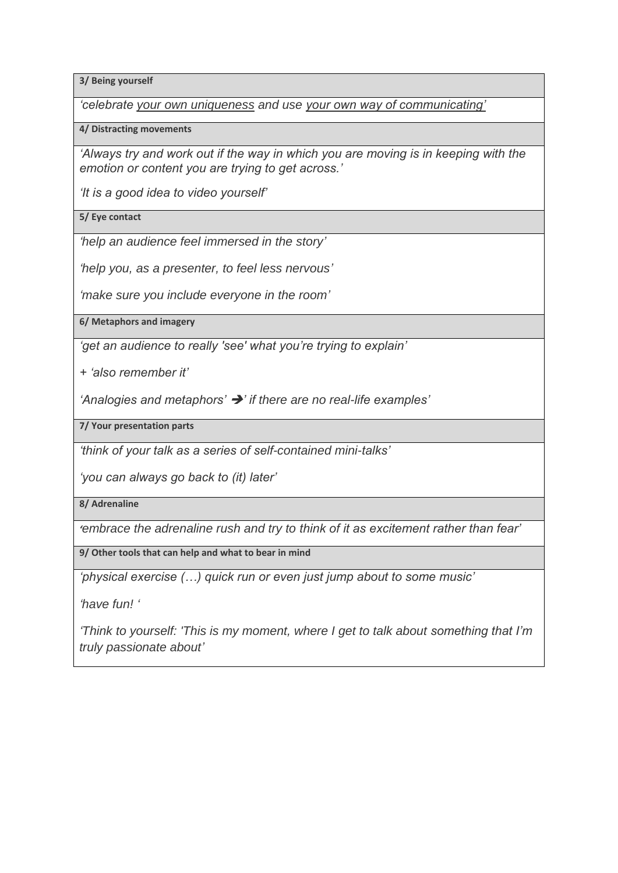**3/ Being yourself**

*'celebrate your own uniqueness and use your own way of communicating'*

**4/ Distracting movements**

*'Always try and work out if the way in which you are moving is in keeping with the emotion or content you are trying to get across.'*

*'It is a good idea to video yourself'*

**5/ Eye contact**

*'help an audience feel immersed in the story'*

*'help you, as a presenter, to feel less nervous'*

*'make sure you include everyone in the room'*

**6/ Metaphors and imagery**

*'get an audience to really 'see' what you're trying to explain'*

*+ 'also remember it'*

*'Analogies and metaphors'* ➔*' if there are no real-life examples'*

**7/ Your presentation parts**

*'think of your talk as a series of self-contained mini-talks'*

*'you can always go back to (it) later'*

**8/ Adrenaline**

*'embrace the adrenaline rush and try to think of it as excitement rather than fear'*

**9/ Other tools that can help and what to bear in mind**

*'physical exercise (…) quick run or even just jump about to some music'*

*'have fun! '*

*'Think to yourself: 'This is my moment, where I get to talk about something that I'm truly passionate about'*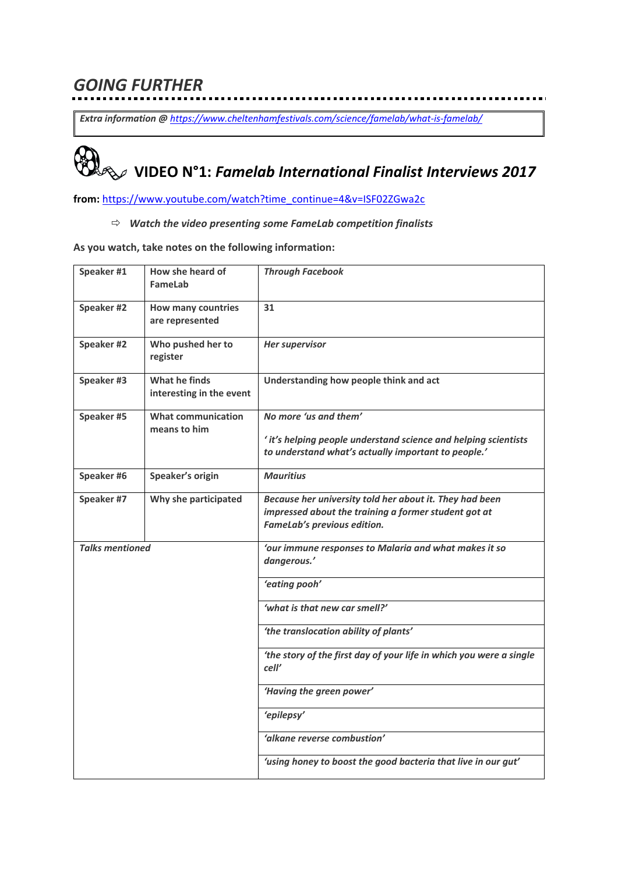# *GOING FURTHER*

*Extra information @ <https://www.cheltenhamfestivals.com/science/famelab/what-is-famelab/>*

. . . . . . . .

# **VIDEO N°1:** *Famelab International Finalist Interviews 2017*

**from:** [https://www.youtube.com/watch?time\\_continue=4&v=ISF02ZGwa2c](https://www.youtube.com/watch?time_continue=4&v=ISF02ZGwa2c)

*Watch the video presenting some FameLab competition finalists*

**As you watch, take notes on the following information:**

| Speaker #1             | How she heard of<br>FameLab                  | <b>Through Facebook</b>                                                                                                                         |
|------------------------|----------------------------------------------|-------------------------------------------------------------------------------------------------------------------------------------------------|
| Speaker #2             | <b>How many countries</b><br>are represented | 31                                                                                                                                              |
| Speaker #2             | Who pushed her to<br>register                | <b>Her supervisor</b>                                                                                                                           |
| Speaker #3             | What he finds<br>interesting in the event    | Understanding how people think and act                                                                                                          |
| Speaker #5             | <b>What communication</b><br>means to him    | No more 'us and them'<br>' it's helping people understand science and helping scientists<br>to understand what's actually important to people.' |
| Speaker #6             | Speaker's origin                             | <b>Mauritius</b>                                                                                                                                |
| Speaker #7             | Why she participated                         | Because her university told her about it. They had been<br>impressed about the training a former student got at<br>FameLab's previous edition.  |
| <b>Talks mentioned</b> |                                              | 'our immune responses to Malaria and what makes it so<br>dangerous.'                                                                            |
|                        |                                              | 'eating pooh'                                                                                                                                   |
|                        |                                              | 'what is that new car smell?'                                                                                                                   |
|                        |                                              | 'the translocation ability of plants'                                                                                                           |
|                        |                                              | 'the story of the first day of your life in which you were a single<br>cell'                                                                    |
|                        |                                              | 'Having the green power'                                                                                                                        |
|                        |                                              | 'epilepsy'                                                                                                                                      |
|                        |                                              | 'alkane reverse combustion'                                                                                                                     |
|                        |                                              | 'using honey to boost the good bacteria that live in our gut'                                                                                   |